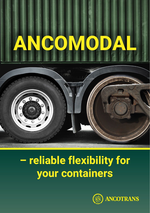# **ANCOMODAL**

## **– reliable flexibility for your containers**